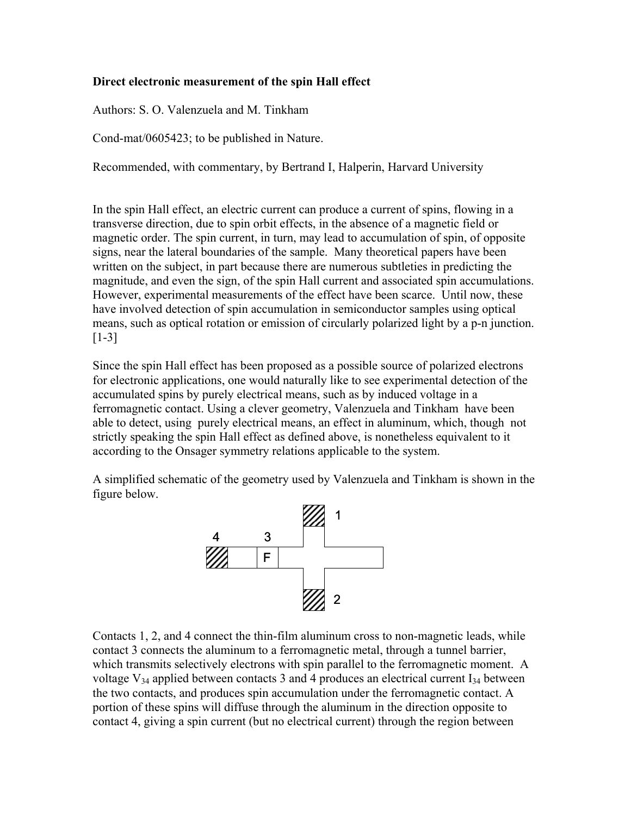## **Direct electronic measurement of the spin Hall effect**

Authors: S. O. Valenzuela and M. Tinkham

Cond-mat/0605423; to be published in Nature.

Recommended, with commentary, by Bertrand I, Halperin, Harvard University

In the spin Hall effect, an electric current can produce a current of spins, flowing in a transverse direction, due to spin orbit effects, in the absence of a magnetic field or magnetic order. The spin current, in turn, may lead to accumulation of spin, of opposite signs, near the lateral boundaries of the sample. Many theoretical papers have been written on the subject, in part because there are numerous subtleties in predicting the magnitude, and even the sign, of the spin Hall current and associated spin accumulations. However, experimental measurements of the effect have been scarce. Until now, these have involved detection of spin accumulation in semiconductor samples using optical means, such as optical rotation or emission of circularly polarized light by a p-n junction. [1-3]

Since the spin Hall effect has been proposed as a possible source of polarized electrons for electronic applications, one would naturally like to see experimental detection of the accumulated spins by purely electrical means, such as by induced voltage in a ferromagnetic contact. Using a clever geometry, Valenzuela and Tinkham have been able to detect, using purely electrical means, an effect in aluminum, which, though not strictly speaking the spin Hall effect as defined above, is nonetheless equivalent to it according to the Onsager symmetry relations applicable to the system.

A simplified schematic of the geometry used by Valenzuela and Tinkham is shown in the figure below.



Contacts 1, 2, and 4 connect the thin-film aluminum cross to non-magnetic leads, while contact 3 connects the aluminum to a ferromagnetic metal, through a tunnel barrier, which transmits selectively electrons with spin parallel to the ferromagnetic moment. A voltage  $V_{34}$  applied between contacts 3 and 4 produces an electrical current  $I_{34}$  between the two contacts, and produces spin accumulation under the ferromagnetic contact. A portion of these spins will diffuse through the aluminum in the direction opposite to contact 4, giving a spin current (but no electrical current) through the region between